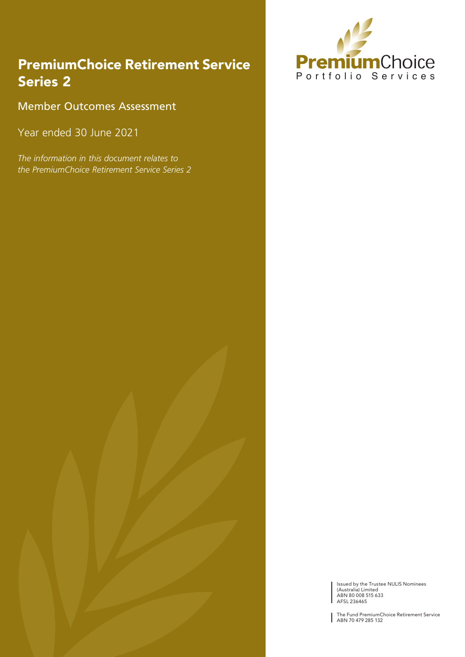### PremiumChoice Retirement Service Series 2

Member Outcomes Assessment

Year ended 30 June 2021

*The information in this document relates to the PremiumChoice Retirement Service Series 2*



Issued by the Trustee NULIS Nominees (Australia) Limited ABN 80 008 515 633 AFSL 236465

The Fund PremiumChoice Retirement Service ABN 70 479 285 132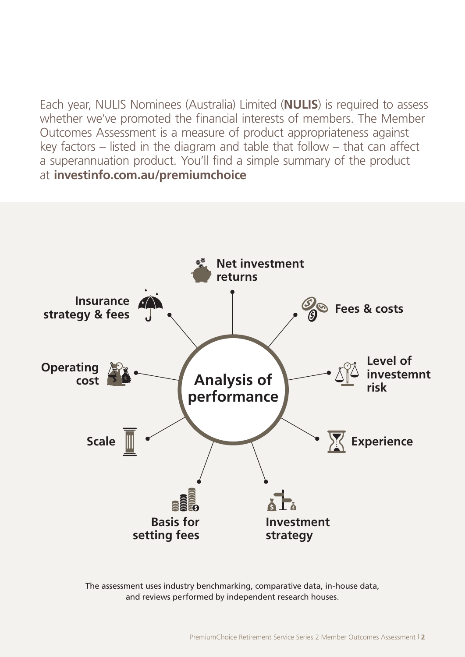Each year, NULIS Nominees (Australia) Limited (**NULIS**) is required to assess whether we've promoted the financial interests of members. The Member Outcomes Assessment is a measure of product appropriateness against key factors – listed in the diagram and table that follow – that can affect a superannuation product. You'll find a simple summary of the product at **[investinfo.com.au/premiumchoice](http://investinfo.com.au/premiumchoice)**



The assessment uses industry benchmarking, comparative data, in-house data, and reviews performed by independent research houses.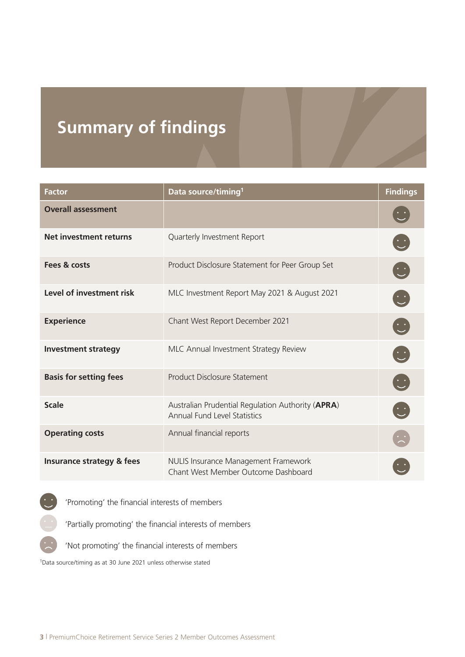# **Summary of findings**

| <b>Factor</b>                 | Data source/timing <sup>1</sup>                                                          | <b>Findings</b>                                                                             |
|-------------------------------|------------------------------------------------------------------------------------------|---------------------------------------------------------------------------------------------|
| <b>Overall assessment</b>     |                                                                                          |                                                                                             |
| <b>Net investment returns</b> | Quarterly Investment Report                                                              | $\ddot{\cup}$                                                                               |
| Fees & costs                  | Product Disclosure Statement for Peer Group Set                                          | $\overline{\mathbb{C}}$                                                                     |
| Level of investment risk      | MLC Investment Report May 2021 & August 2021                                             | $\left[\begin{smallmatrix} \cdot & \cdot \end{smallmatrix}\right]$                          |
| <b>Experience</b>             | Chant West Report December 2021                                                          | $\left[\begin{smallmatrix} \cdot & \cdot \ \cdot \\ \cdot & \cdot \end{smallmatrix}\right]$ |
| <b>Investment strategy</b>    | MLC Annual Investment Strategy Review                                                    | $\left(\begin{smallmatrix} \cdot & \cdot \ \cdot \\ \cdot & \cdot \end{smallmatrix}\right)$ |
| <b>Basis for setting fees</b> | <b>Product Disclosure Statement</b>                                                      | $\overline{\mathbb{C}}$                                                                     |
| <b>Scale</b>                  | Australian Prudential Regulation Authority (APRA)<br><b>Annual Fund Level Statistics</b> | $\left(\frac{1}{2}\right)$                                                                  |
| <b>Operating costs</b>        | Annual financial reports                                                                 |                                                                                             |
| Insurance strategy & fees     | NULIS Insurance Management Framework<br>Chant West Member Outcome Dashboard              |                                                                                             |



'Partially promoting' the financial interests of members

'Not promoting' the financial interests of members

1Data source/timing as at 30 June 2021 unless otherwise stated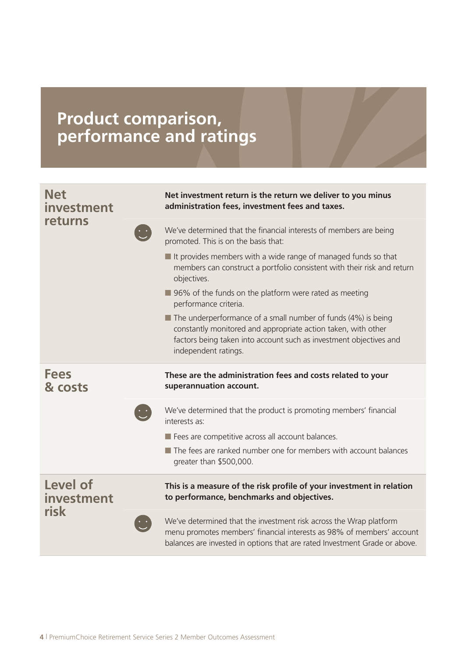### **Product comparison, performance and ratings**

| <b>Net</b><br>investment<br>returns |  | Net investment return is the return we deliver to you minus<br>administration fees, investment fees and taxes.                                                                                                                              |
|-------------------------------------|--|---------------------------------------------------------------------------------------------------------------------------------------------------------------------------------------------------------------------------------------------|
|                                     |  | We've determined that the financial interests of members are being<br>promoted. This is on the basis that:                                                                                                                                  |
|                                     |  | $\blacksquare$ It provides members with a wide range of managed funds so that<br>members can construct a portfolio consistent with their risk and return<br>objectives.                                                                     |
|                                     |  | ■ 96% of the funds on the platform were rated as meeting<br>performance criteria.                                                                                                                                                           |
|                                     |  | $\blacksquare$ The underperformance of a small number of funds (4%) is being<br>constantly monitored and appropriate action taken, with other<br>factors being taken into account such as investment objectives and<br>independent ratings. |
| <b>Fees</b><br>& costs              |  | These are the administration fees and costs related to your<br>superannuation account.                                                                                                                                                      |
|                                     |  | We've determined that the product is promoting members' financial<br>interests as:                                                                                                                                                          |
|                                     |  | Fees are competitive across all account balances.                                                                                                                                                                                           |
|                                     |  | The fees are ranked number one for members with account balances<br>greater than \$500,000.                                                                                                                                                 |
| Level of<br>investment<br>risk      |  | This is a measure of the risk profile of your investment in relation<br>to performance, benchmarks and objectives.                                                                                                                          |
|                                     |  | We've determined that the investment risk across the Wrap platform<br>menu promotes members' financial interests as 98% of members' account<br>balances are invested in options that are rated Investment Grade or above.                   |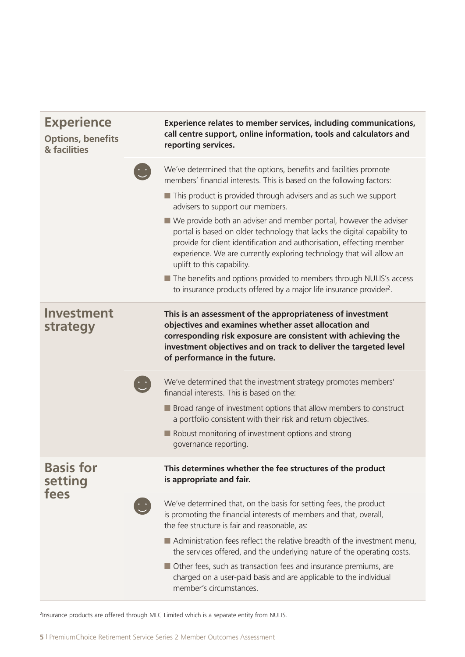| <b>Experience</b><br><b>Options, benefits</b><br>& facilities |  | Experience relates to member services, including communications,<br>call centre support, online information, tools and calculators and<br>reporting services.                                                                                                                                                                  |
|---------------------------------------------------------------|--|--------------------------------------------------------------------------------------------------------------------------------------------------------------------------------------------------------------------------------------------------------------------------------------------------------------------------------|
|                                                               |  | We've determined that the options, benefits and facilities promote<br>members' financial interests. This is based on the following factors:                                                                                                                                                                                    |
|                                                               |  | This product is provided through advisers and as such we support<br>advisers to support our members.                                                                                                                                                                                                                           |
|                                                               |  | ■ We provide both an adviser and member portal, however the adviser<br>portal is based on older technology that lacks the digital capability to<br>provide for client identification and authorisation, effecting member<br>experience. We are currently exploring technology that will allow an<br>uplift to this capability. |
|                                                               |  | The benefits and options provided to members through NULIS's access<br>to insurance products offered by a major life insurance provider <sup>2</sup> .                                                                                                                                                                         |
| Investment<br>strategy                                        |  | This is an assessment of the appropriateness of investment<br>objectives and examines whether asset allocation and<br>corresponding risk exposure are consistent with achieving the<br>investment objectives and on track to deliver the targeted level<br>of performance in the future.                                       |
|                                                               |  | We've determined that the investment strategy promotes members'<br>financial interests. This is based on the:                                                                                                                                                                                                                  |
|                                                               |  | ■ Broad range of investment options that allow members to construct<br>a portfolio consistent with their risk and return objectives.                                                                                                                                                                                           |
|                                                               |  | Robust monitoring of investment options and strong<br>governance reporting.                                                                                                                                                                                                                                                    |
| <b>Basis for</b><br>setting<br>fees                           |  | This determines whether the fee structures of the product<br>is appropriate and fair.                                                                                                                                                                                                                                          |
|                                                               |  | We've determined that, on the basis for setting fees, the product<br>is promoting the financial interests of members and that, overall,<br>the fee structure is fair and reasonable, as:                                                                                                                                       |
|                                                               |  | ■ Administration fees reflect the relative breadth of the investment menu,<br>the services offered, and the underlying nature of the operating costs.<br>■ Other fees, such as transaction fees and insurance premiums, are<br>charged on a user-paid basis and are applicable to the individual<br>member's circumstances.    |
|                                                               |  |                                                                                                                                                                                                                                                                                                                                |

2Insurance products are offered through MLC Limited which is a separate entity from NULIS.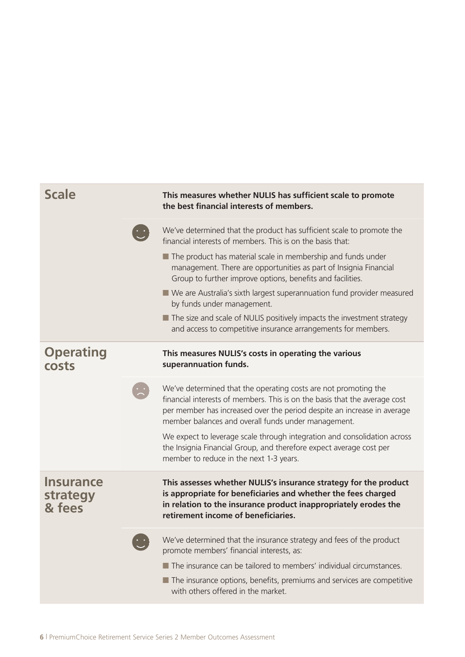| <b>Scale</b>                           | This measures whether NULIS has sufficient scale to promote<br>the best financial interests of members.                                                                                                                                                                         |
|----------------------------------------|---------------------------------------------------------------------------------------------------------------------------------------------------------------------------------------------------------------------------------------------------------------------------------|
|                                        | We've determined that the product has sufficient scale to promote the<br>financial interests of members. This is on the basis that:                                                                                                                                             |
|                                        | The product has material scale in membership and funds under<br>management. There are opportunities as part of Insignia Financial<br>Group to further improve options, benefits and facilities.                                                                                 |
|                                        | ■ We are Australia's sixth largest superannuation fund provider measured<br>by funds under management.                                                                                                                                                                          |
|                                        | The size and scale of NULIS positively impacts the investment strategy<br>and access to competitive insurance arrangements for members.                                                                                                                                         |
| <b>Operating</b><br>costs              | This measures NULIS's costs in operating the various<br>superannuation funds.                                                                                                                                                                                                   |
|                                        | We've determined that the operating costs are not promoting the<br>financial interests of members. This is on the basis that the average cost<br>per member has increased over the period despite an increase in average<br>member balances and overall funds under management. |
|                                        | We expect to leverage scale through integration and consolidation across<br>the Insignia Financial Group, and therefore expect average cost per<br>member to reduce in the next 1-3 years.                                                                                      |
| <b>Insurance</b><br>strategy<br>& fees | This assesses whether NULIS's insurance strategy for the product<br>is appropriate for beneficiaries and whether the fees charged<br>in relation to the insurance product inappropriately erodes the<br>retirement income of beneficiaries.                                     |
|                                        | We've determined that the insurance strategy and fees of the product<br>promote members' financial interests, as:                                                                                                                                                               |
|                                        | The insurance can be tailored to members' individual circumstances.<br>The insurance options, benefits, premiums and services are competitive<br>with others offered in the market.                                                                                             |
|                                        |                                                                                                                                                                                                                                                                                 |